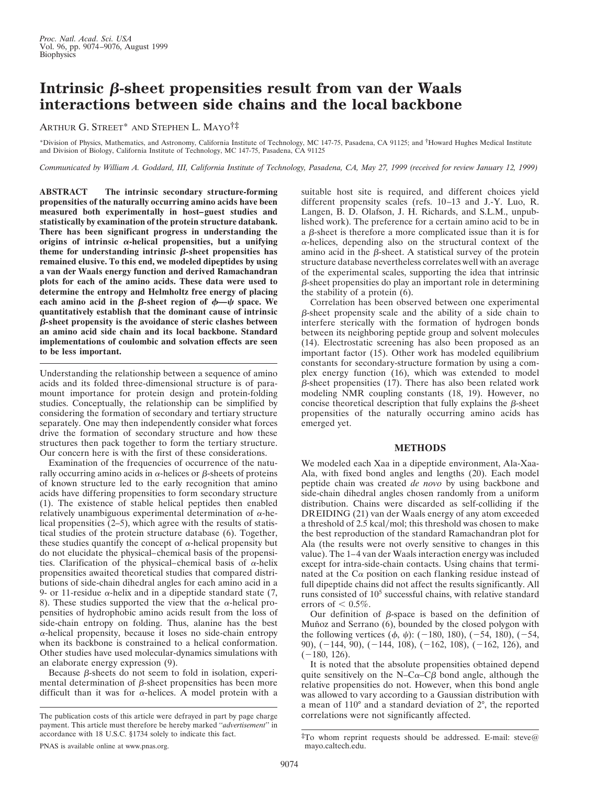## **Intrinsic**  $\beta$ -sheet propensities result from van der Waals **interactions between side chains and the local backbone**

ARTHUR G. STREET\* AND STEPHEN L. MAYO†‡

\*Division of Physics, Mathematics, and Astronomy, California Institute of Technology, MC 147-75, Pasadena, CA 91125; and †Howard Hughes Medical Institute and Division of Biology, California Institute of Technology, MC 147-75, Pasadena, CA 91125

*Communicated by William A. Goddard, III, California Institute of Technology, Pasadena, CA, May 27, 1999 (received for review January 12, 1999)*

**ABSTRACT The intrinsic secondary structure-forming propensities of the naturally occurring amino acids have been measured both experimentally in host–guest studies and statistically by examination of the protein structure databank. There has been significant progress in understanding the origins of intrinsic** <sup>a</sup>**-helical propensities, but a unifying** theme for understanding intrinsic  $\beta$ -sheet propensities has **remained elusive. To this end, we modeled dipeptides by using a van der Waals energy function and derived Ramachandran plots for each of the amino acids. These data were used to determine the entropy and Helmholtz free energy of placing each amino acid in the**  $\beta$ **-sheet region of**  $\phi$ **-** $\psi$  **space. We quantitatively establish that the dominant cause of intrinsic** b**-sheet propensity is the avoidance of steric clashes between an amino acid side chain and its local backbone. Standard implementations of coulombic and solvation effects are seen to be less important.**

Understanding the relationship between a sequence of amino acids and its folded three-dimensional structure is of paramount importance for protein design and protein-folding studies. Conceptually, the relationship can be simplified by considering the formation of secondary and tertiary structure separately. One may then independently consider what forces drive the formation of secondary structure and how these structures then pack together to form the tertiary structure. Our concern here is with the first of these considerations.

Examination of the frequencies of occurrence of the naturally occurring amino acids in  $\alpha$ -helices or  $\beta$ -sheets of proteins of known structure led to the early recognition that amino acids have differing propensities to form secondary structure (1). The existence of stable helical peptides then enabled relatively unambiguous experimental determination of  $\alpha$ -helical propensities (2–5), which agree with the results of statistical studies of the protein structure database (6). Together, these studies quantify the concept of  $\alpha$ -helical propensity but do not elucidate the physical–chemical basis of the propensities. Clarification of the physical–chemical basis of  $\alpha$ -helix propensities awaited theoretical studies that compared distributions of side-chain dihedral angles for each amino acid in a 9- or 11-residue  $\alpha$ -helix and in a dipeptide standard state (7, 8). These studies supported the view that the  $\alpha$ -helical propensities of hydrophobic amino acids result from the loss of side-chain entropy on folding. Thus, alanine has the best  $\alpha$ -helical propensity, because it loses no side-chain entropy when its backbone is constrained to a helical conformation. Other studies have used molecular-dynamics simulations with an elaborate energy expression (9).

Because  $\beta$ -sheets do not seem to fold in isolation, experimental determination of  $\beta$ -sheet propensities has been more difficult than it was for  $\alpha$ -helices. A model protein with a suitable host site is required, and different choices yield different propensity scales (refs. 10–13 and J.-Y. Luo, R. Langen, B. D. Olafson, J. H. Richards, and S.L.M., unpublished work). The preference for a certain amino acid to be in a  $\beta$ -sheet is therefore a more complicated issue than it is for  $\alpha$ -helices, depending also on the structural context of the amino acid in the  $\beta$ -sheet. A statistical survey of the protein structure database nevertheless correlates well with an average of the experimental scales, supporting the idea that intrinsic  $\beta$ -sheet propensities do play an important role in determining the stability of a protein (6).

Correlation has been observed between one experimental  $\beta$ -sheet propensity scale and the ability of a side chain to interfere sterically with the formation of hydrogen bonds between its neighboring peptide group and solvent molecules (14). Electrostatic screening has also been proposed as an important factor (15). Other work has modeled equilibrium constants for secondary-structure formation by using a complex energy function (16), which was extended to model  $\beta$ -sheet propensities (17). There has also been related work modeling NMR coupling constants (18, 19). However, no concise theoretical description that fully explains the  $\beta$ -sheet propensities of the naturally occurring amino acids has emerged yet.

## **METHODS**

We modeled each Xaa in a dipeptide environment, Ala-Xaa-Ala, with fixed bond angles and lengths (20). Each model peptide chain was created *de novo* by using backbone and side-chain dihedral angles chosen randomly from a uniform distribution. Chains were discarded as self-colliding if the DREIDING (21) van der Waals energy of any atom exceeded a threshold of 2.5 kcal/mol; this threshold was chosen to make the best reproduction of the standard Ramachandran plot for Ala (the results were not overly sensitive to changes in this value). The 1–4 van der Waals interaction energy was included except for intra-side-chain contacts. Using chains that terminated at the  $C\alpha$  position on each flanking residue instead of full dipeptide chains did not affect the results significantly. All runs consisted of 10<sup>5</sup> successful chains, with relative standard errors of  $< 0.5\%$ .

Our definition of  $\beta$ -space is based on the definition of Muñoz and Serrano (6), bounded by the closed polygon with the following vertices  $(\phi, \psi)$ : (-180, 180), (-54, 180), (-54, 90),  $(-144, 90)$ ,  $(-144, 108)$ ,  $(-162, 108)$ ,  $(-162, 126)$ , and  $(-180, 126).$ 

It is noted that the absolute propensities obtained depend quite sensitively on the N–C $\alpha$ –C $\beta$  bond angle, although the relative propensities do not. However, when this bond angle was allowed to vary according to a Gaussian distribution with a mean of 110° and a standard deviation of 2°, the reported

The publication costs of this article were defrayed in part by page charge correlations were not significantly affected. payment. This article must therefore be hereby marked ''*advertisement*'' in accordance with 18 U.S.C. §1734 solely to indicate this fact.

 $\overline{*}$ To whom reprint requests should be addressed. E-mail: steve@ mayo.caltech.edu.

PNAS is available online at www.pnas.org.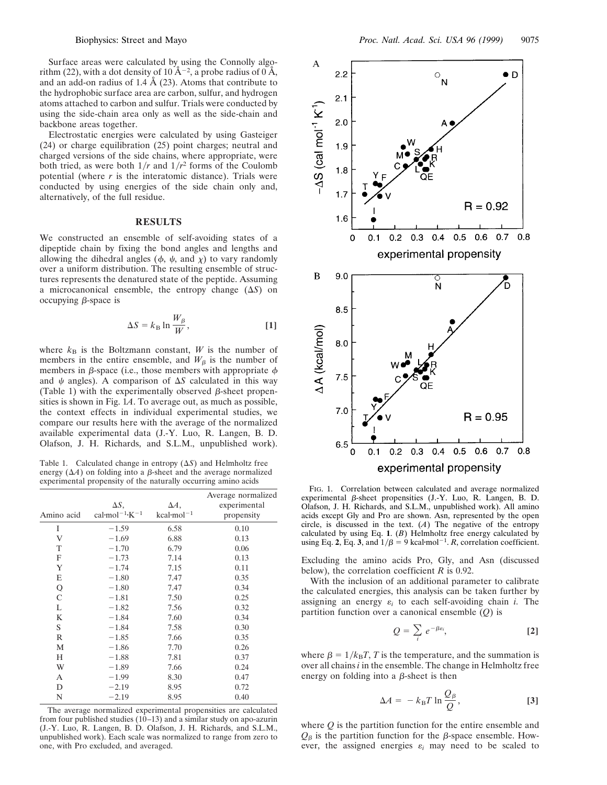Surface areas were calculated by using the Connolly algorithm (22), with a dot density of  $10 \text{ Å}^{-2}$ , a probe radius of  $0 \text{ Å}$ , and an add-on radius of 1.4 Å (23). Atoms that contribute to the hydrophobic surface area are carbon, sulfur, and hydrogen atoms attached to carbon and sulfur. Trials were conducted by using the side-chain area only as well as the side-chain and backbone areas together.

Electrostatic energies were calculated by using Gasteiger (24) or charge equilibration (25) point charges; neutral and charged versions of the side chains, where appropriate, were both tried, as were both  $1/r$  and  $1/r^2$  forms of the Coulomb potential (where *r* is the interatomic distance). Trials were conducted by using energies of the side chain only and, alternatively, of the full residue.

## **RESULTS**

We constructed an ensemble of self-avoiding states of a dipeptide chain by fixing the bond angles and lengths and allowing the dihedral angles ( $\phi$ ,  $\psi$ , and  $\chi$ ) to vary randomly over a uniform distribution. The resulting ensemble of structures represents the denatured state of the peptide. Assuming a microcanonical ensemble, the entropy change  $(\Delta S)$  on occupying  $\beta$ -space is

$$
\Delta S = k_{\rm B} \ln \frac{W_{\beta}}{W}, \qquad [1]
$$

where  $k_B$  is the Boltzmann constant, *W* is the number of members in the entire ensemble, and  $W_\beta$  is the number of members in  $\beta$ -space (i.e., those members with appropriate  $\phi$ and  $\psi$  angles). A comparison of  $\Delta S$  calculated in this way (Table 1) with the experimentally observed  $\beta$ -sheet propensities is shown in Fig. 1*A*. To average out, as much as possible, the context effects in individual experimental studies, we compare our results here with the average of the normalized available experimental data (J.-Y. Luo, R. Langen, B. D. Olafson, J. H. Richards, and S.L.M., unpublished work).

Table 1. Calculated change in entropy  $(\Delta S)$  and Helmholtz free energy  $(\Delta A)$  on folding into a  $\beta$ -sheet and the average normalized experimental propensity of the naturally occurring amino acids

| Amino acid   | $\Delta S$ .<br>cal-mol <sup><math>-1</math></sup> ·K <sup><math>-1</math></sup> | $\Delta A$ ,<br>$kcal$ -mol <sup>-1</sup> | Average normalized<br>experimental<br>propensity |
|--------------|----------------------------------------------------------------------------------|-------------------------------------------|--------------------------------------------------|
| I            | $-1.59$                                                                          | 6.58                                      | 0.10                                             |
| V            | $-1.69$                                                                          | 6.88                                      | 0.13                                             |
| T            | $-1.70$                                                                          | 6.79                                      | 0.06                                             |
| $\mathbf F$  | $-1.73$                                                                          | 7.14                                      | 0.13                                             |
| Y            | $-1.74$                                                                          | 7.15                                      | 0.11                                             |
| E            | $-1.80$                                                                          | 7.47                                      | 0.35                                             |
| Q            | $-1.80$                                                                          | 7.47                                      | 0.34                                             |
| $\mathsf{C}$ | $-1.81$                                                                          | 7.50                                      | 0.25                                             |
| L            | $-1.82$                                                                          | 7.56                                      | 0.32                                             |
| K            | $-1.84$                                                                          | 7.60                                      | 0.34                                             |
| S            | $-1.84$                                                                          | 7.58                                      | 0.30                                             |
| R            | $-1.85$                                                                          | 7.66                                      | 0.35                                             |
| M            | $-1.86$                                                                          | 7.70                                      | 0.26                                             |
| H            | $-1.88$                                                                          | 7.81                                      | 0.37                                             |
| W            | $-1.89$                                                                          | 7.66                                      | 0.24                                             |
| A            | $-1.99$                                                                          | 8.30                                      | 0.47                                             |
| D            | $-2.19$                                                                          | 8.95                                      | 0.72                                             |
| N            | $-2.19$                                                                          | 8.95                                      | 0.40                                             |

The average normalized experimental propensities are calculated from four published studies  $(10-13)$  and a similar study on apo-azurin (J.-Y. Luo, R. Langen, B. D. Olafson, J. H. Richards, and S.L.M., unpublished work). Each scale was normalized to range from zero to one, with Pro excluded, and averaged.



FIG. 1. Correlation between calculated and average normalized experimental  $\beta$ -sheet propensities (J.-Y. Luo, R. Langen, B. D. Olafson, J. H. Richards, and S.L.M., unpublished work). All amino acids except Gly and Pro are shown. Asn, represented by the open circle, is discussed in the text.  $(A)$  The negative of the entropy calculated by using Eq. **1**. (*B*) Helmholtz free energy calculated by using Eq. 2, Eq. 3, and  $1/\beta = 9$  kcal mol<sup>-1</sup>. *R*, correlation coefficient.

Excluding the amino acids Pro, Gly, and Asn (discussed below), the correlation coefficient *R* is 0.92.

With the inclusion of an additional parameter to calibrate the calculated energies, this analysis can be taken further by assigning an energy  $\varepsilon_i$  to each self-avoiding chain *i*. The partition function over a canonical ensemble (*Q*) is

$$
Q = \sum_{i} e^{-\beta \varepsilon_{i}}, \qquad [2]
$$

where  $\beta = 1/k_B T$ , *T* is the temperature, and the summation is over all chains *i* in the ensemble. The change in Helmholtz free energy on folding into a  $\beta$ -sheet is then

$$
\Delta A = -k_{\rm B} T \ln \frac{Q_{\beta}}{Q}, \qquad [3]
$$

where *Q* is the partition function for the entire ensemble and  $Q_{\beta}$  is the partition function for the  $\beta$ -space ensemble. However, the assigned energies  $\varepsilon_i$  may need to be scaled to